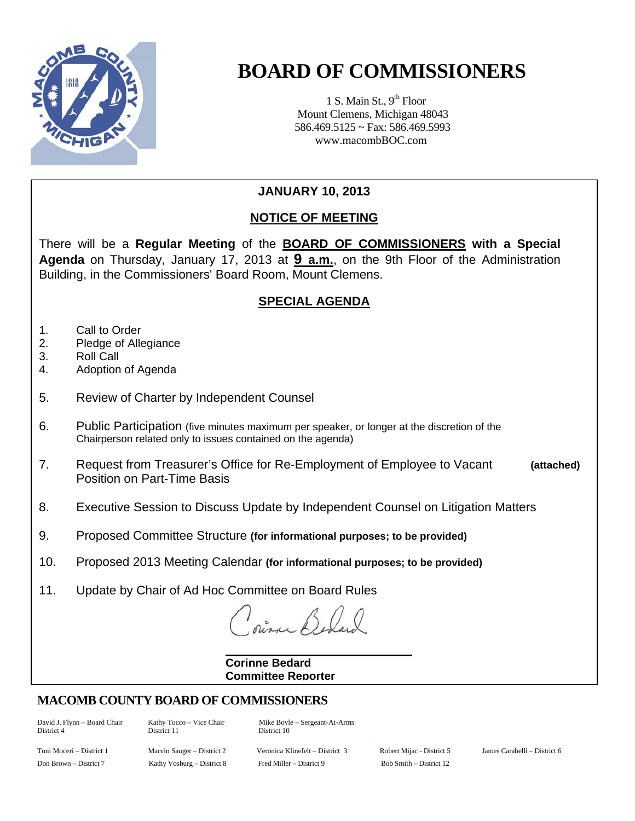

# **BOARD OF COMMISSIONERS**

1 S. Main St.,  $9<sup>th</sup>$  Floor Mount Clemens, Michigan 48043 586.469.5125 ~ Fax: 586.469.5993 www.macombBOC.com

## **JANUARY 10, 2013**

## **NOTICE OF MEETING**

There will be a **Regular Meeting** of the **BOARD OF COMMISSIONERS with a Special Agenda** on Thursday, January 17, 2013 at **9 a.m.**, on the 9th Floor of the Administration Building, in the Commissioners' Board Room, Mount Clemens.

## **SPECIAL AGENDA**

- 1. Call to Order
- 2. Pledge of Allegiance
- 3. Roll Call
- 4. Adoption of Agenda
- 5. Review of Charter by Independent Counsel
- 6. Public Participation (five minutes maximum per speaker, or longer at the discretion of the Chairperson related only to issues contained on the agenda)
- 7. Request from Treasurer's Office for Re-Employment of Employee to Vacant **(attached)**  Position on Part-Time Basis
- 8. Executive Session to Discuss Update by Independent Counsel on Litigation Matters
- 9. Proposed Committee Structure **(for informational purposes; to be provided)**
- 10. Proposed 2013 Meeting Calendar **(for informational purposes; to be provided)**
- 11. Update by Chair of Ad Hoc Committee on Board Rules

#### **Corinne Bedard Committee Reporter**

## **MACOMB COUNTY BOARD OF COMMISSIONERS**

District 4 District 11 District 10

David J. Flynn – Board Chair Kathy Tocco – Vice Chair Mike Boyle – Sergeant-At-Arms

Toni Moceri – District 1 Marvin Sauger – District 2 Veronica Klinefelt – District 3 Robert Mijac - District 5 James Carabelli – District 6 Don Brown – District 7 Kathy Vosburg – District 8 Fred Miller – District 9 Bob Smith – District 12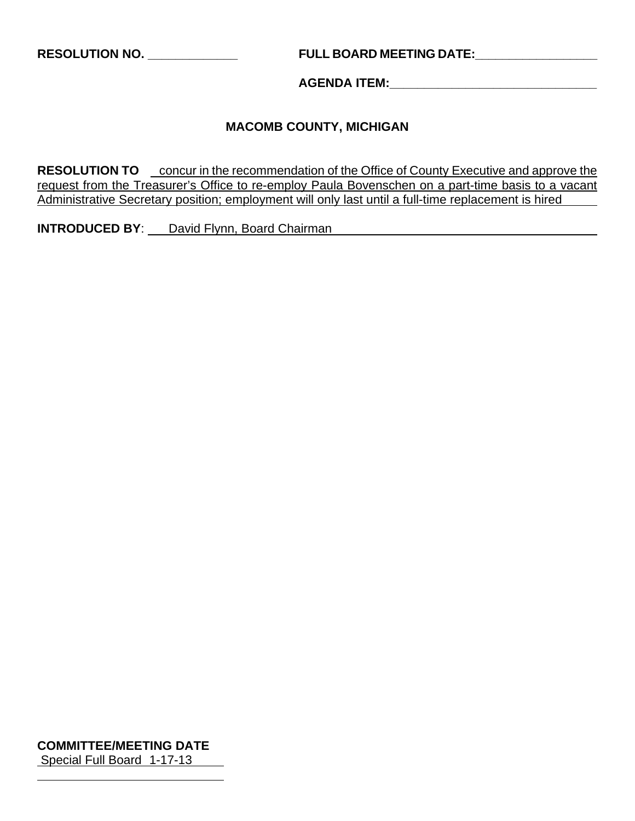**RESOLUTION NO. \_\_\_\_\_\_\_\_\_\_\_\_\_ FULL BOARD MEETING DATE:\_\_\_\_\_\_\_\_\_\_\_\_\_\_\_\_\_\_** 

**AGENDA ITEM:\_\_\_\_\_\_\_\_\_\_\_\_\_\_\_\_\_\_\_\_\_\_\_\_\_\_\_\_\_\_** 

### **MACOMB COUNTY, MICHIGAN**

**RESOLUTION TO** concur in the recommendation of the Office of County Executive and approve the request from the Treasurer's Office to re-employ Paula Bovenschen on a part-time basis to a vacant Administrative Secretary position; employment will only last until a full-time replacement is hired

**INTRODUCED BY:** David Flynn, Board Chairman

**COMMITTEE/MEETING DATE** Special Full Board 1-17-13

 $\overline{a}$